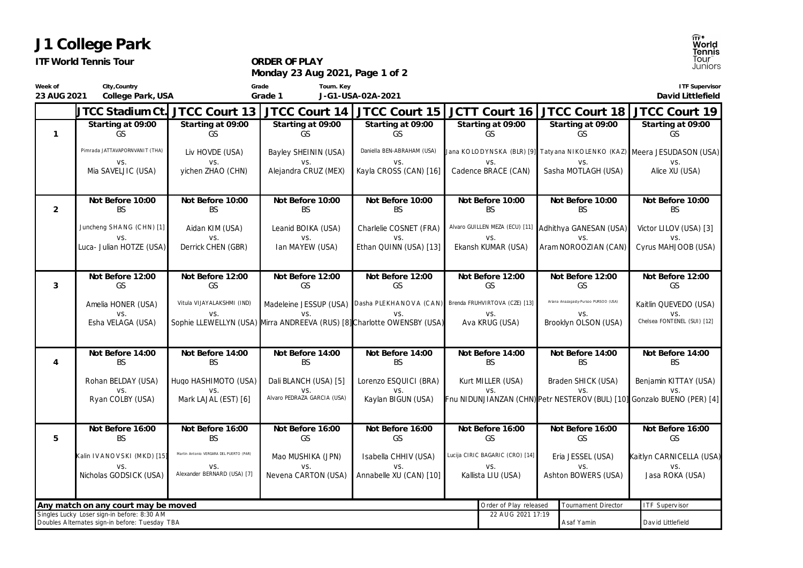| <b>ITF World Tennis Tour</b>                                  |                                                                                               |                                         | ORDER OF PLAY<br>Monday 23 Aug 2021, Page 1 of 2                               |                                |                                                                                |                   | T <b>ennis</b><br>Tour<br>Juniors                     |                                       |  |                                    |
|---------------------------------------------------------------|-----------------------------------------------------------------------------------------------|-----------------------------------------|--------------------------------------------------------------------------------|--------------------------------|--------------------------------------------------------------------------------|-------------------|-------------------------------------------------------|---------------------------------------|--|------------------------------------|
| Week of<br>23 AUG 2021                                        | City, Country<br>College Park, USA                                                            |                                         | Tourn. Key<br>Grade<br>Grade 1<br>J-G1-USA-02A-2021                            |                                |                                                                                |                   | ITF Supervisor<br>David Littlefield                   |                                       |  |                                    |
|                                                               | JTCC Stadium Ct.                                                                              | JTCC Court 13                           | JTCC Court 14                                                                  | JTCC Court 15                  |                                                                                |                   |                                                       | JCTT Court 16 JTCC Court 18           |  | JTCC Court 19                      |
| $\mathbf{1}$                                                  | Starting at 09:00<br>GS                                                                       | Starting at 09:00<br>GS                 | Starting at 09:00<br><b>GS</b>                                                 | Starting at 09:00<br><b>GS</b> | Starting at 09:00<br>GS                                                        |                   | Starting at 09:00<br>GS                               |                                       |  | Starting at 09:00<br>GS            |
|                                                               | Pimrada JATTAVAPORNVANIT (THA)                                                                | Liv HOVDE (USA)                         | Bayley SHEININ (USA)                                                           | Daniella BEN-ABRAHAM (USA)     | Jana KOLODYNSKA (BLR) [9] Tatyana NIKOLENKO (KAZ) Meera JESUDASON (USA)        |                   |                                                       |                                       |  |                                    |
|                                                               | VS.<br>Mia SAVELJIC (USA)                                                                     | VS.<br>yichen ZHAO (CHN)                | VS.<br>Alejandra CRUZ (MEX)                                                    | VS.<br>Kayla CROSS (CAN) [16]  | VS.<br>Cadence BRACE (CAN)                                                     |                   |                                                       | VS.<br>Sasha MOTLAGH (USA)            |  | VS.<br>Alice XU (USA)              |
| $\overline{2}$                                                | Not Before 10:00<br><b>BS</b>                                                                 | Not Before 10:00<br><b>BS</b>           | Not Before 10:00<br><b>BS</b>                                                  | Not Before 10:00<br><b>BS</b>  | Not Before 10:00<br><b>BS</b>                                                  |                   |                                                       | Not Before 10:00<br><b>BS</b>         |  | Not Before 10:00<br><b>BS</b>      |
|                                                               | Juncheng SHANG (CHN) [1]                                                                      | Aidan KIM (USA)                         | Leanid BOIKA (USA)                                                             | Charlelie COSNET (FRA)         |                                                                                |                   | Alvaro GUILLEN MEZA (ECU) [11] Adhithya GANESAN (USA) |                                       |  | Victor LILOV (USA) [3]             |
|                                                               | VS.<br>Luca- Julian HOTZE (USA)                                                               | VS.<br>Derrick CHEN (GBR)               | VS.<br>Ian MAYEW (USA)                                                         | VS.<br>Ethan QUINN (USA) [13]  | VS.<br>Ekansh KUMAR (USA)                                                      |                   | VS.<br>Aram NOROOZIAN (CAN)                           |                                       |  | VS.<br>Cyrus MAHJOOB (USA)         |
| 3                                                             | Not Before 12:00<br>GS                                                                        | Not Before 12:00<br>GS                  | Not Before 12:00<br>GS                                                         | Not Before 12:00<br>GS         | Not Before 12:00<br>GS                                                         |                   |                                                       | Not Before 12:00<br>GS                |  | Not Before 12:00<br>GS             |
|                                                               | Amelia HONER (USA)                                                                            | Vitula VIJAYALAKSHMI (IND)              |                                                                                |                                | Madeleine JESSUP (USA) Dasha PLEKHANOVA (CAN) Brenda FRUHVIRTOVA (CZE) [13]    |                   |                                                       | Ariana Anazagasty-Pursoo PURSOO (USA) |  | Kaitlin QUEVEDO (USA)              |
|                                                               | VS.<br>Esha VELAGA (USA)                                                                      | VS.                                     | VS.<br>Sophie LLEWELLYN (USA) Mirra ANDREEVA (RUS) [8] Charlotte OWENSBY (USA) | VS.                            | VS.<br>Ava KRUG (USA)                                                          |                   |                                                       | VS.<br>Brooklyn OLSON (USA)           |  | VS.<br>Chelsea FONTENEL (SUI) [12] |
| $\overline{4}$                                                | Not Before 14:00<br><b>BS</b>                                                                 | Not Before 14:00<br><b>BS</b>           | Not Before 14:00<br><b>BS</b>                                                  | Not Before 14:00<br><b>BS</b>  | Not Before 14:00<br><b>BS</b>                                                  |                   |                                                       | Not Before 14:00<br><b>BS</b>         |  | Not Before 14:00<br><b>BS</b>      |
|                                                               | Rohan BELDAY (USA)                                                                            | Hugo HASHIMOTO (USA)                    | Dali BLANCH (USA) [5]                                                          | Lorenzo ESQUICI (BRA)          | Kurt MILLER (USA)                                                              |                   |                                                       | Braden SHICK (USA)                    |  | Benjamin KITTAY (USA)              |
|                                                               | VS.<br>Ryan COLBY (USA)                                                                       | VS.<br>Mark LAJAL (EST) [6]             | VS.<br>Alvaro PEDRAZA GARCIA (USA)                                             | VS.<br>Kaylan BIGUN (USA)      | VS.<br>Fnu NIDUNJIANZAN (CHN) Petr NESTEROV (BUL) [10] Gonzalo BUENO (PER) [4] |                   |                                                       |                                       |  | VS.                                |
| 5                                                             | Not Before 16:00<br><b>BS</b>                                                                 | Not Before 16:00<br><b>BS</b>           | Not Before 16:00<br>GS                                                         | Not Before 16:00<br>GS         | Not Before 16:00<br>GS<br>Lucija CIRIC BAGARIC (CRO) [14]                      |                   |                                                       | Not Before 16:00<br>GS                |  | Not Before 16:00<br>GS             |
|                                                               | Kalin IVANOVSKI (MKD) [15]                                                                    | Martin Antonio VERGARA DEL PUERTO (PAR) | Mao MUSHIKA (JPN)                                                              | Isabella CHHIV (USA)           |                                                                                |                   |                                                       | Eria JESSEL (USA)                     |  | Kaitlyn CARNICELLA (USA)           |
|                                                               | VS.<br>Nicholas GODSICK (USA)                                                                 | VS.<br>Alexander BERNARD (USA) [7]      | VS.<br>Nevena CARTON (USA)                                                     | VS.<br>Annabelle XU (CAN) [10] | VS.<br>Kallista LIU (USA)                                                      |                   | VS.<br>Ashton BOWERS (USA)                            |                                       |  | VS.<br>Jasa ROKA (USA)             |
| Any match on any court may be moved<br>Order of Play released |                                                                                               |                                         |                                                                                |                                |                                                                                |                   |                                                       | <b>Tournament Director</b>            |  | <b>ITF Supervisor</b>              |
|                                                               | Singles Lucky Loser sign-in before: 8:30 AM<br>Doubles Alternates sign-in before: Tuesday TBA |                                         |                                                                                |                                |                                                                                | 22 AUG 2021 17:19 |                                                       | Asaf Yamin                            |  | David Littlefield                  |

## **J1 College Park**